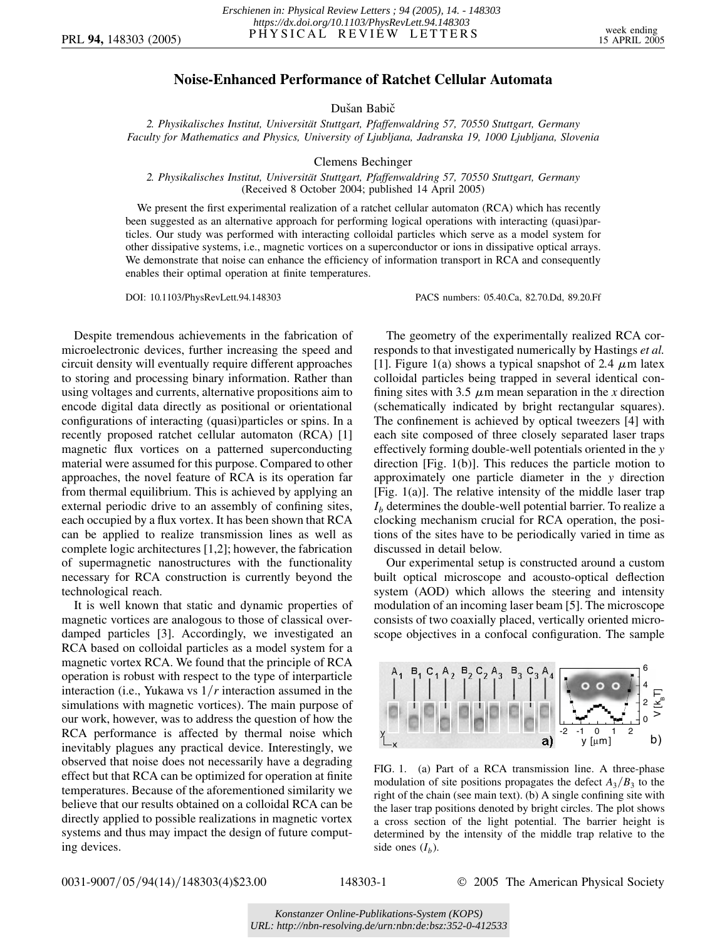## **Noise-Enhanced Performance of Ratchet Cellular Automata**

Dušan Babič

2. Physikalisches Institut, Universität Stuttgart, Pfaffenwaldring 57, 70550 Stuttgart, Germany *Faculty for Mathematics and Physics, University of Ljubljana, Jadranska 19, 1000 Ljubljana, Slovenia*

Clemens Bechinger

## *2. Physikalisches Institut, Universita¨t Stuttgart, Pfaffenwaldring 57, 70550 Stuttgart, Germany* (Received 8 October 2004; published 14 April 2005)

We present the first experimental realization of a ratchet cellular automaton (RCA) which has recently been suggested as an alternative approach for performing logical operations with interacting (quasi)particles. Our study was performed with interacting colloidal particles which serve as a model system for other dissipative systems, i.e., magnetic vortices on a superconductor or ions in dissipative optical arrays. We demonstrate that noise can enhance the efficiency of information transport in RCA and consequently enables their optimal operation at finite temperatures.

DOI: 10.1103/PhysRevLett.94.148303 PACS numbers: 05.40.Ca, 82.70.Dd, 89.20.Ff

Despite tremendous achievements in the fabrication of microelectronic devices, further increasing the speed and circuit density will eventually require different approaches to storing and processing binary information. Rather than using voltages and currents, alternative propositions aim to encode digital data directly as positional or orientational configurations of interacting (quasi)particles or spins. In a recently proposed ratchet cellular automaton (RCA) [1] magnetic flux vortices on a patterned superconducting material were assumed for this purpose. Compared to other approaches, the novel feature of RCA is its operation far from thermal equilibrium. This is achieved by applying an external periodic drive to an assembly of confining sites, each occupied by a flux vortex. It has been shown that RCA can be applied to realize transmission lines as well as complete logic architectures [1,2]; however, the fabrication of supermagnetic nanostructures with the functionality necessary for RCA construction is currently beyond the technological reach.

It is well known that static and dynamic properties of magnetic vortices are analogous to those of classical overdamped particles [3]. Accordingly, we investigated an RCA based on colloidal particles as a model system for a magnetic vortex RCA. We found that the principle of RCA operation is robust with respect to the type of interparticle interaction (i.e., Yukawa vs  $1/r$  interaction assumed in the simulations with magnetic vortices). The main purpose of our work, however, was to address the question of how the RCA performance is affected by thermal noise which inevitably plagues any practical device. Interestingly, we observed that noise does not necessarily have a degrading effect but that RCA can be optimized for operation at finite temperatures. Because of the aforementioned similarity we believe that our results obtained on a colloidal RCA can be directly applied to possible realizations in magnetic vortex systems and thus may impact the design of future computing devices.

The geometry of the experimentally realized RCA corresponds to that investigated numerically by Hastings *et al.* [1]. Figure 1(a) shows a typical snapshot of 2.4  $\mu$ m latex colloidal particles being trapped in several identical confining sites with 3.5  $\mu$ m mean separation in the *x* direction (schematically indicated by bright rectangular squares). The confinement is achieved by optical tweezers [4] with each site composed of three closely separated laser traps effectively forming double-well potentials oriented in the *y* direction [Fig. 1(b)]. This reduces the particle motion to approximately one particle diameter in the *y* direction [Fig. 1(a)]. The relative intensity of the middle laser trap  $I<sub>b</sub>$  determines the double-well potential barrier. To realize a clocking mechanism crucial for RCA operation, the positions of the sites have to be periodically varied in time as discussed in detail below.

Our experimental setup is constructed around a custom built optical microscope and acousto-optical deflection system (AOD) which allows the steering and intensity modulation of an incoming laser beam [5]. The microscope consists of two coaxially placed, vertically oriented microscope objectives in a confocal configuration. The sample



FIG. 1. (a) Part of a RCA transmission line. A three-phase modulation of site positions propagates the defect  $A_3/B_3$  to the right of the chain (see main text). (b) A single confining site with the laser trap positions denoted by bright circles. The plot shows a cross section of the light potential. The barrier height is determined by the intensity of the middle trap relative to the side ones  $(I_b)$ .

0031-9007/05/94(14)/148303(4)\$23.00 148303-1 **2005** The American Physical Society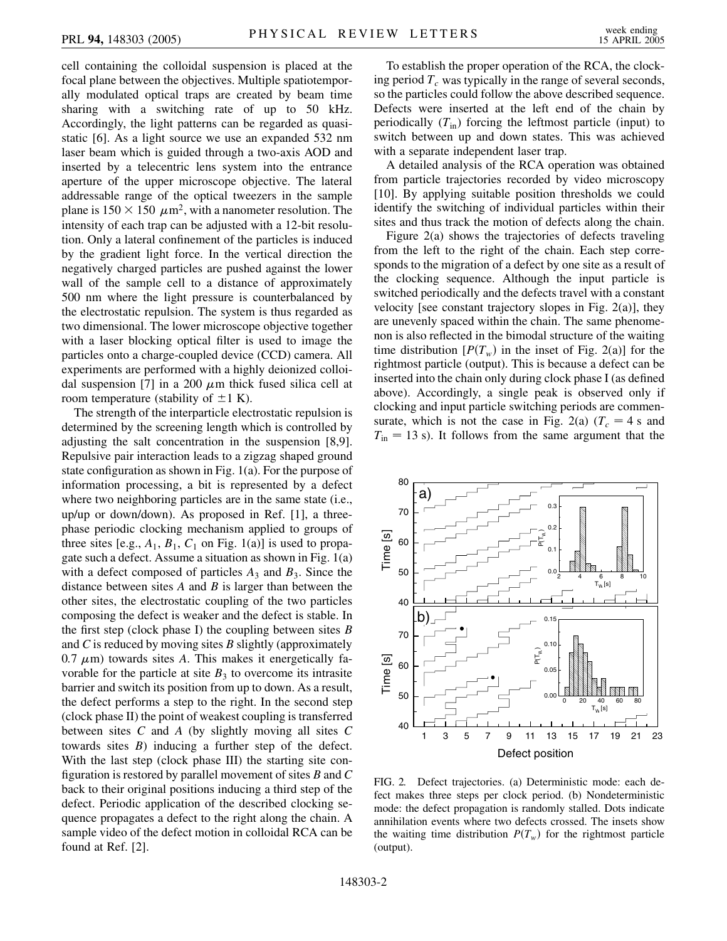cell containing the colloidal suspension is placed at the focal plane between the objectives. Multiple spatiotemporally modulated optical traps are created by beam time sharing with a switching rate of up to 50 kHz. Accordingly, the light patterns can be regarded as quasistatic [6]. As a light source we use an expanded 532 nm laser beam which is guided through a two-axis AOD and inserted by a telecentric lens system into the entrance aperture of the upper microscope objective. The lateral addressable range of the optical tweezers in the sample plane is  $150 \times 150 \mu m^2$ , with a nanometer resolution. The intensity of each trap can be adjusted with a 12-bit resolution. Only a lateral confinement of the particles is induced by the gradient light force. In the vertical direction the negatively charged particles are pushed against the lower wall of the sample cell to a distance of approximately 500 nm where the light pressure is counterbalanced by the electrostatic repulsion. The system is thus regarded as two dimensional. The lower microscope objective together with a laser blocking optical filter is used to image the particles onto a charge-coupled device (CCD) camera. All experiments are performed with a highly deionized colloidal suspension [7] in a 200  $\mu$ m thick fused silica cell at room temperature (stability of  $\pm 1$  K).

The strength of the interparticle electrostatic repulsion is determined by the screening length which is controlled by adjusting the salt concentration in the suspension [8,9]. Repulsive pair interaction leads to a zigzag shaped ground state configuration as shown in Fig. 1(a). For the purpose of information processing, a bit is represented by a defect where two neighboring particles are in the same state (i.e., up/up or down/down). As proposed in Ref. [1], a threephase periodic clocking mechanism applied to groups of three sites [e.g.,  $A_1$ ,  $B_1$ ,  $C_1$  on Fig. 1(a)] is used to propagate such a defect. Assume a situation as shown in Fig. 1(a) with a defect composed of particles  $A_3$  and  $B_3$ . Since the distance between sites *A* and *B* is larger than between the other sites, the electrostatic coupling of the two particles composing the defect is weaker and the defect is stable. In the first step (clock phase I) the coupling between sites *B* and *C* is reduced by moving sites *B* slightly (approximately  $0.7 \mu$ m) towards sites *A*. This makes it energetically favorable for the particle at site  $B_3$  to overcome its intrasite barrier and switch its position from up to down. As a result, the defect performs a step to the right. In the second step (clock phase II) the point of weakest coupling is transferred between sites *C* and *A* (by slightly moving all sites *C* towards sites *B*) inducing a further step of the defect. With the last step (clock phase III) the starting site configuration is restored by parallel movement of sites *B* and *C* back to their original positions inducing a third step of the defect. Periodic application of the described clocking sequence propagates a defect to the right along the chain. A sample video of the defect motion in colloidal RCA can be found at Ref. [2].

To establish the proper operation of the RCA, the clocking period  $T_c$  was typically in the range of several seconds, so the particles could follow the above described sequence. Defects were inserted at the left end of the chain by periodically  $(T_{in})$  forcing the leftmost particle (input) to switch between up and down states. This was achieved with a separate independent laser trap.

A detailed analysis of the RCA operation was obtained from particle trajectories recorded by video microscopy [10]. By applying suitable position thresholds we could identify the switching of individual particles within their sites and thus track the motion of defects along the chain.

Figure 2(a) shows the trajectories of defects traveling from the left to the right of the chain. Each step corresponds to the migration of a defect by one site as a result of the clocking sequence. Although the input particle is switched periodically and the defects travel with a constant velocity [see constant trajectory slopes in Fig. 2(a)], they are unevenly spaced within the chain. The same phenomenon is also reflected in the bimodal structure of the waiting time distribution  $[P(T_w)]$  in the inset of Fig. 2(a)] for the rightmost particle (output). This is because a defect can be inserted into the chain only during clock phase I (as defined above). Accordingly, a single peak is observed only if clocking and input particle switching periods are commensurate, which is not the case in Fig. 2(a)  $(T_c = 4 \text{ s and})$  $T_{\text{in}} = 13$  s). It follows from the same argument that the



FIG. 2. Defect trajectories. (a) Deterministic mode: each defect makes three steps per clock period. (b) Nondeterministic mode: the defect propagation is randomly stalled. Dots indicate annihilation events where two defects crossed. The insets show the waiting time distribution  $P(T_w)$  for the rightmost particle (output).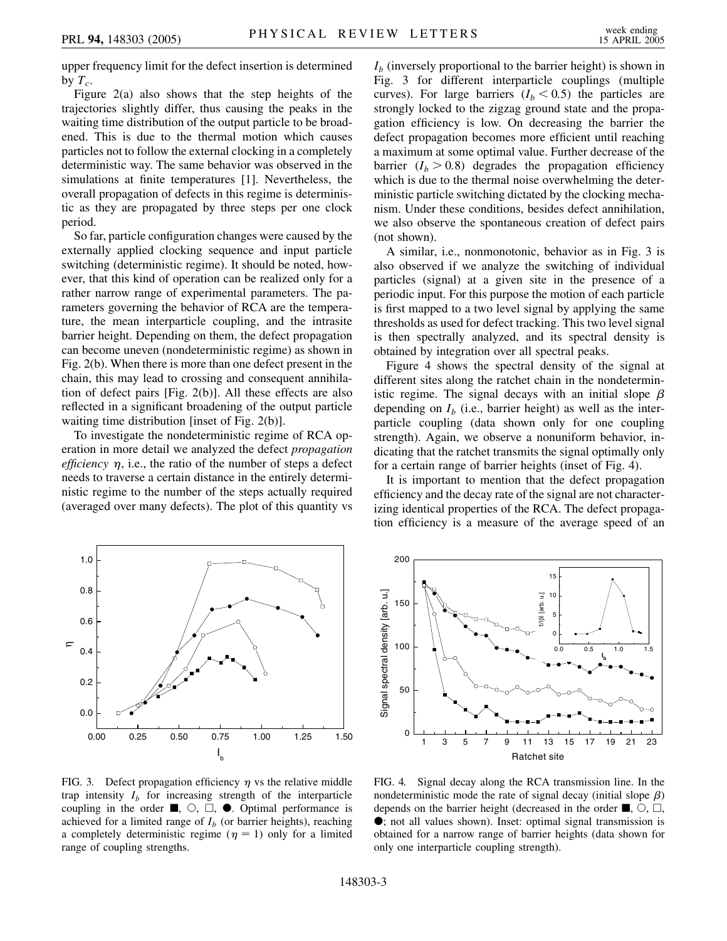upper frequency limit for the defect insertion is determined by  $T_c$ .

Figure 2(a) also shows that the step heights of the trajectories slightly differ, thus causing the peaks in the waiting time distribution of the output particle to be broadened. This is due to the thermal motion which causes particles not to follow the external clocking in a completely deterministic way. The same behavior was observed in the simulations at finite temperatures [1]. Nevertheless, the overall propagation of defects in this regime is deterministic as they are propagated by three steps per one clock period.

So far, particle configuration changes were caused by the externally applied clocking sequence and input particle switching (deterministic regime). It should be noted, however, that this kind of operation can be realized only for a rather narrow range of experimental parameters. The parameters governing the behavior of RCA are the temperature, the mean interparticle coupling, and the intrasite barrier height. Depending on them, the defect propagation can become uneven (nondeterministic regime) as shown in Fig. 2(b). When there is more than one defect present in the chain, this may lead to crossing and consequent annihilation of defect pairs [Fig. 2(b)]. All these effects are also reflected in a significant broadening of the output particle waiting time distribution [inset of Fig. 2(b)].

To investigate the nondeterministic regime of RCA operation in more detail we analyzed the defect *propagation efficiency*  $\eta$ , i.e., the ratio of the number of steps a defect needs to traverse a certain distance in the entirely deterministic regime to the number of the steps actually required (averaged over many defects). The plot of this quantity vs  $I<sub>b</sub>$  (inversely proportional to the barrier height) is shown in Fig. 3 for different interparticle couplings (multiple curves). For large barriers  $(I_b < 0.5)$  the particles are strongly locked to the zigzag ground state and the propagation efficiency is low. On decreasing the barrier the defect propagation becomes more efficient until reaching a maximum at some optimal value. Further decrease of the barrier  $(I_b > 0.8)$  degrades the propagation efficiency which is due to the thermal noise overwhelming the deterministic particle switching dictated by the clocking mechanism. Under these conditions, besides defect annihilation, we also observe the spontaneous creation of defect pairs (not shown).

A similar, i.e., nonmonotonic, behavior as in Fig. 3 is also observed if we analyze the switching of individual particles (signal) at a given site in the presence of a periodic input. For this purpose the motion of each particle is first mapped to a two level signal by applying the same thresholds as used for defect tracking. This two level signal is then spectrally analyzed, and its spectral density is obtained by integration over all spectral peaks.

Figure 4 shows the spectral density of the signal at different sites along the ratchet chain in the nondeterministic regime. The signal decays with an initial slope  $\beta$ depending on  $I<sub>b</sub>$  (i.e., barrier height) as well as the interparticle coupling (data shown only for one coupling strength). Again, we observe a nonuniform behavior, indicating that the ratchet transmits the signal optimally only for a certain range of barrier heights (inset of Fig. 4).

It is important to mention that the defect propagation efficiency and the decay rate of the signal are not characterizing identical properties of the RCA. The defect propagation efficiency is a measure of the average speed of an



FIG. 3. Defect propagation efficiency  $\eta$  vs the relative middle trap intensity  $I<sub>b</sub>$  for increasing strength of the interparticle coupling in the order  $\blacksquare$ ,  $\bigcirc$ ,  $\Box$ ,  $\bullet$ . Optimal performance is achieved for a limited range of  $I<sub>b</sub>$  (or barrier heights), reaching a completely deterministic regime ( $\eta = 1$ ) only for a limited range of coupling strengths.



FIG. 4. Signal decay along the RCA transmission line. In the nondeterministic mode the rate of signal decay (initial slope  $\beta$ ) depends on the barrier height (decreased in the order  $\blacksquare$ ,  $\bigcirc$ ,  $\Box$ , ; not all values shown). Inset: optimal signal transmission is obtained for a narrow range of barrier heights (data shown for only one interparticle coupling strength).